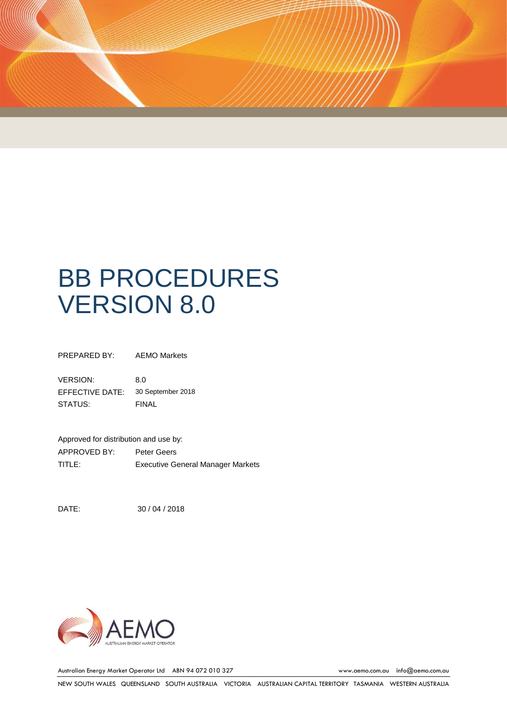

PREPARED BY: AEMO Markets

VERSION: 8.0 EFFECTIVE DATE: 30 September 2018 STATUS: FINAL

Approved for distribution and use by: APPROVED BY: Peter Geers TITLE: Executive General Manager Markets

DATE: 30 / 04 / 2018





Australian Energy Market Operator Ltd ABN 94 072 010 327 [www.aemo.com.au](http://www.aemo.com.au/) [info@aemo.com.au](mailto:info@aemo.com.au)

NEW SOUTH WALES QUEENSLAND SOUTH AUSTRALIA VICTORIA AUSTRALIAN CAPITAL TERRITORY TASMANIA WESTERN AUSTRALIA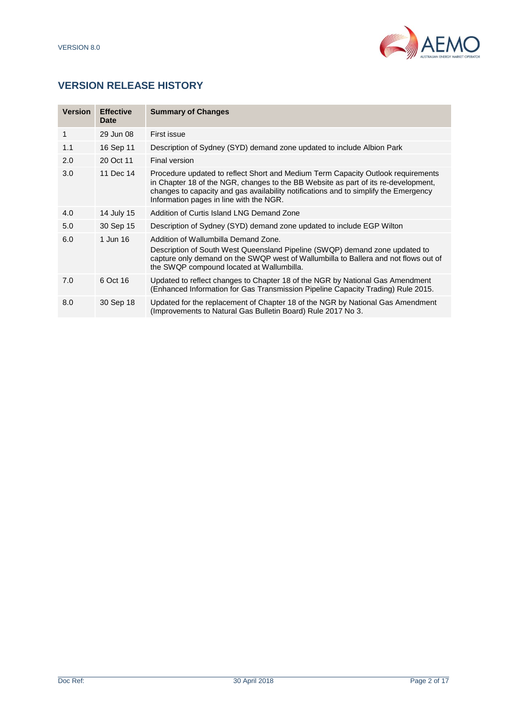

# **VERSION RELEASE HISTORY**

| <b>Version</b> | <b>Effective</b><br>Date | <b>Summary of Changes</b>                                                                                                                                                                                                                                                                                 |
|----------------|--------------------------|-----------------------------------------------------------------------------------------------------------------------------------------------------------------------------------------------------------------------------------------------------------------------------------------------------------|
| 1              | 29 Jun 08                | First issue                                                                                                                                                                                                                                                                                               |
| 1.1            | 16 Sep 11                | Description of Sydney (SYD) demand zone updated to include Albion Park                                                                                                                                                                                                                                    |
| 2.0            | 20 Oct 11                | Final version                                                                                                                                                                                                                                                                                             |
| 3.0            | 11 Dec 14                | Procedure updated to reflect Short and Medium Term Capacity Outlook requirements<br>in Chapter 18 of the NGR, changes to the BB Website as part of its re-development,<br>changes to capacity and gas availability notifications and to simplify the Emergency<br>Information pages in line with the NGR. |
| 4.0            | 14 July 15               | Addition of Curtis Island LNG Demand Zone                                                                                                                                                                                                                                                                 |
| 5.0            | 30 Sep 15                | Description of Sydney (SYD) demand zone updated to include EGP Wilton                                                                                                                                                                                                                                     |
| 6.0            | 1 Jun 16                 | Addition of Wallumbilla Demand Zone.<br>Description of South West Queensland Pipeline (SWQP) demand zone updated to<br>capture only demand on the SWQP west of Wallumbilla to Ballera and not flows out of<br>the SWQP compound located at Wallumbilla.                                                   |
| 7.0            | 6 Oct 16                 | Updated to reflect changes to Chapter 18 of the NGR by National Gas Amendment<br>(Enhanced Information for Gas Transmission Pipeline Capacity Trading) Rule 2015.                                                                                                                                         |
| 8.0            | 30 Sep 18                | Updated for the replacement of Chapter 18 of the NGR by National Gas Amendment<br>(Improvements to Natural Gas Bulletin Board) Rule 2017 No 3.                                                                                                                                                            |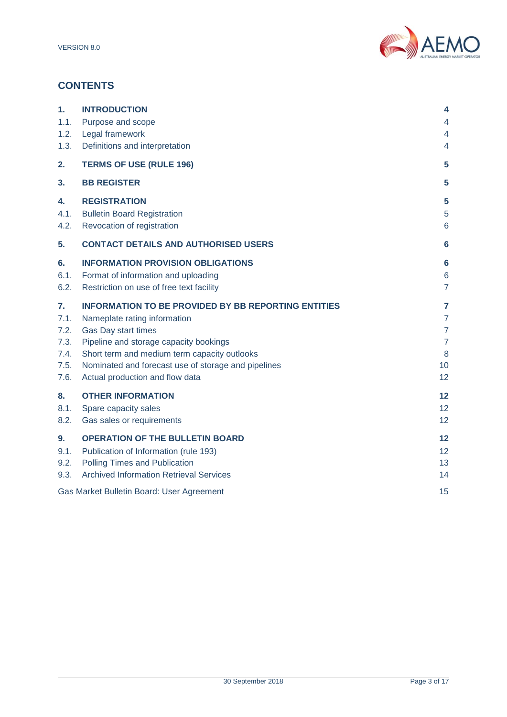

# **CONTENTS**

| 1.   | <b>INTRODUCTION</b>                                        | 4                |
|------|------------------------------------------------------------|------------------|
| 1.1. | Purpose and scope                                          | $\overline{4}$   |
| 1.2. | Legal framework                                            | 4                |
| 1.3. | Definitions and interpretation                             | 4                |
| 2.   | <b>TERMS OF USE (RULE 196)</b>                             | 5                |
| 3.   | <b>BB REGISTER</b>                                         | 5                |
| 4.   | <b>REGISTRATION</b>                                        | 5                |
| 4.1. | <b>Bulletin Board Registration</b>                         | 5                |
| 4.2. | Revocation of registration                                 | 6                |
| 5.   | <b>CONTACT DETAILS AND AUTHORISED USERS</b>                | 6                |
| 6.   | <b>INFORMATION PROVISION OBLIGATIONS</b>                   | $6\phantom{1}6$  |
| 6.1. | Format of information and uploading                        | $\boldsymbol{6}$ |
| 6.2. | Restriction on use of free text facility                   | $\overline{7}$   |
| 7.   | <b>INFORMATION TO BE PROVIDED BY BB REPORTING ENTITIES</b> | $\overline{7}$   |
| 7.1. | Nameplate rating information                               | $\overline{7}$   |
| 7.2. | <b>Gas Day start times</b>                                 | $\overline{7}$   |
| 7.3. | Pipeline and storage capacity bookings                     | $\overline{7}$   |
| 7.4. | Short term and medium term capacity outlooks               | 8                |
| 7.5. | Nominated and forecast use of storage and pipelines        | 10               |
| 7.6. | Actual production and flow data                            | 12               |
| 8.   | <b>OTHER INFORMATION</b>                                   | 12               |
| 8.1. | Spare capacity sales                                       | 12               |
| 8.2. | Gas sales or requirements                                  | 12               |
| 9.   | <b>OPERATION OF THE BULLETIN BOARD</b>                     | 12               |
| 9.1. | Publication of Information (rule 193)                      | 12               |
| 9.2. | Polling Times and Publication                              | 13               |
| 9.3. | <b>Archived Information Retrieval Services</b>             | 14               |
|      | Gas Market Bulletin Board: User Agreement                  | 15               |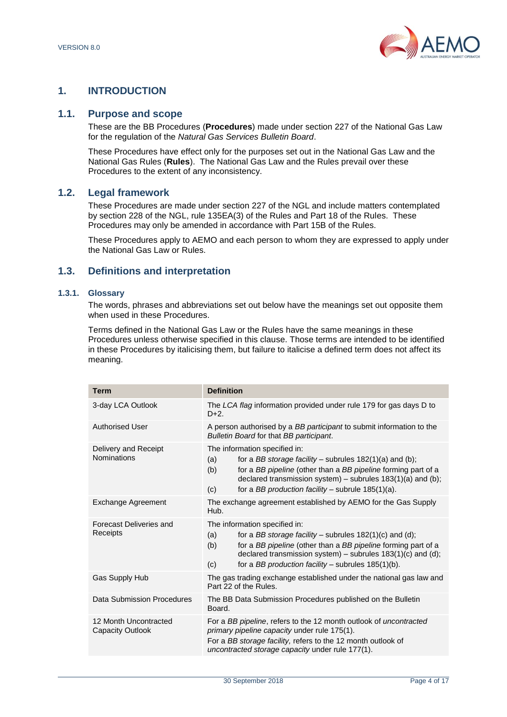

## <span id="page-3-0"></span>**1. INTRODUCTION**

## <span id="page-3-1"></span>**1.1. Purpose and scope**

These are the BB Procedures (**Procedures**) made under section 227 of the National Gas Law for the regulation of the *Natural Gas Services Bulletin Board*.

These Procedures have effect only for the purposes set out in the National Gas Law and the National Gas Rules (**Rules**). The National Gas Law and the Rules prevail over these Procedures to the extent of any inconsistency.

### <span id="page-3-2"></span>**1.2. Legal framework**

These Procedures are made under section 227 of the NGL and include matters contemplated by section 228 of the NGL, rule 135EA(3) of the Rules and Part 18 of the Rules. These Procedures may only be amended in accordance with Part 15B of the Rules.

These Procedures apply to AEMO and each person to whom they are expressed to apply under the National Gas Law or Rules.

## <span id="page-3-3"></span>**1.3. Definitions and interpretation**

#### **1.3.1. Glossary**

The words, phrases and abbreviations set out below have the meanings set out opposite them when used in these Procedures.

Terms defined in the National Gas Law or the Rules have the same meanings in these Procedures unless otherwise specified in this clause. Those terms are intended to be identified in these Procedures by italicising them, but failure to italicise a defined term does not affect its meaning.

| <b>Term</b>                                      | <b>Definition</b>                                                                                                                                                                                                                                                                                          |  |  |
|--------------------------------------------------|------------------------------------------------------------------------------------------------------------------------------------------------------------------------------------------------------------------------------------------------------------------------------------------------------------|--|--|
| 3-day LCA Outlook                                | The LCA flag information provided under rule 179 for gas days D to<br>$D+2$ .                                                                                                                                                                                                                              |  |  |
| Authorised User                                  | A person authorised by a BB participant to submit information to the<br>Bulletin Board for that BB participant.                                                                                                                                                                                            |  |  |
| Delivery and Receipt<br>Nominations              | The information specified in:<br>for a BB storage facility – subrules $182(1)(a)$ and (b);<br>(a)<br>(b)<br>for a BB pipeline (other than a BB pipeline forming part of a<br>declared transmission system) – subrules $183(1)(a)$ and (b);<br>for a BB production facility – subrule $185(1)(a)$ .<br>(c)  |  |  |
| Exchange Agreement                               | The exchange agreement established by AEMO for the Gas Supply<br>Hub.                                                                                                                                                                                                                                      |  |  |
| Forecast Deliveries and<br>Receipts              | The information specified in:<br>for a BB storage facility – subrules $182(1)(c)$ and (d);<br>(a)<br>for a BB pipeline (other than a BB pipeline forming part of a<br>(b)<br>declared transmission system) – subrules $183(1)(c)$ and (d);<br>for a BB production facility - subrules $185(1)(b)$ .<br>(c) |  |  |
| Gas Supply Hub                                   | The gas trading exchange established under the national gas law and<br>Part 22 of the Rules.                                                                                                                                                                                                               |  |  |
| Data Submission Procedures                       | The BB Data Submission Procedures published on the Bulletin<br>Board.                                                                                                                                                                                                                                      |  |  |
| 12 Month Uncontracted<br><b>Capacity Outlook</b> | For a BB pipeline, refers to the 12 month outlook of uncontracted<br>primary pipeline capacity under rule 175(1).<br>For a BB storage facility, refers to the 12 month outlook of<br>uncontracted storage capacity under rule 177(1).                                                                      |  |  |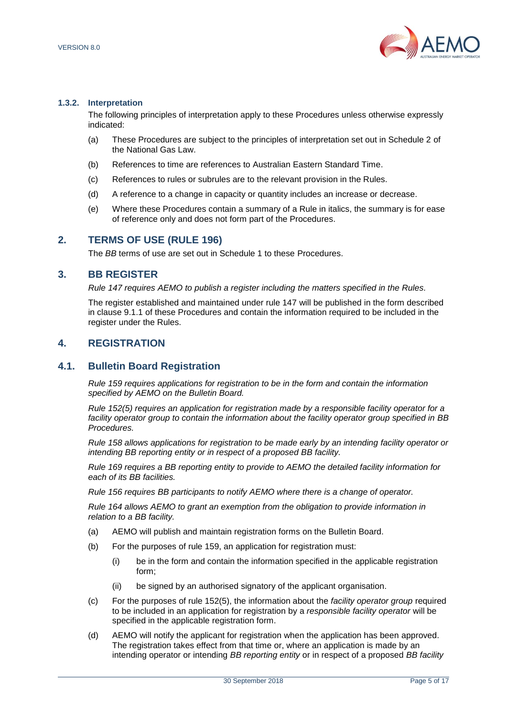

#### **1.3.2. Interpretation**

The following principles of interpretation apply to these Procedures unless otherwise expressly indicated:

- (a) These Procedures are subject to the principles of interpretation set out in Schedule 2 of the National Gas Law.
- (b) References to time are references to Australian Eastern Standard Time.
- (c) References to rules or subrules are to the relevant provision in the Rules.
- (d) A reference to a change in capacity or quantity includes an increase or decrease.
- (e) Where these Procedures contain a summary of a Rule in italics, the summary is for ease of reference only and does not form part of the Procedures.

## <span id="page-4-0"></span>**2. TERMS OF USE (RULE 196)**

The *BB* terms of use are set out in Schedule 1 to these Procedures.

## <span id="page-4-1"></span>**3. BB REGISTER**

*Rule 147 requires AEMO to publish a register including the matters specified in the Rules.*

The register established and maintained under rule 147 will be published in the form described in clause 9.1.1 of these Procedures and contain the information required to be included in the register under the Rules.

## <span id="page-4-2"></span>**4. REGISTRATION**

### <span id="page-4-3"></span>**4.1. Bulletin Board Registration**

*Rule 159 requires applications for registration to be in the form and contain the information specified by AEMO on the Bulletin Board.* 

*Rule 152(5) requires an application for registration made by a responsible facility operator for a facility operator group to contain the information about the facility operator group specified in BB Procedures.*

*Rule 158 allows applications for registration to be made early by an intending facility operator or intending BB reporting entity or in respect of a proposed BB facility.*

*Rule 169 requires a BB reporting entity to provide to AEMO the detailed facility information for each of its BB facilities.* 

*Rule 156 requires BB participants to notify AEMO where there is a change of operator.*

*Rule 164 allows AEMO to grant an exemption from the obligation to provide information in relation to a BB facility.*

- (a) AEMO will publish and maintain registration forms on the Bulletin Board.
- (b) For the purposes of rule 159, an application for registration must:
	- (i) be in the form and contain the information specified in the applicable registration form;
	- (ii) be signed by an authorised signatory of the applicant organisation.
- (c) For the purposes of rule 152(5), the information about the *facility operator group* required to be included in an application for registration by a *responsible facility operator* will be specified in the applicable registration form.
- (d) AEMO will notify the applicant for registration when the application has been approved. The registration takes effect from that time or, where an application is made by an intending operator or intending *BB reporting entity* or in respect of a proposed *BB facility*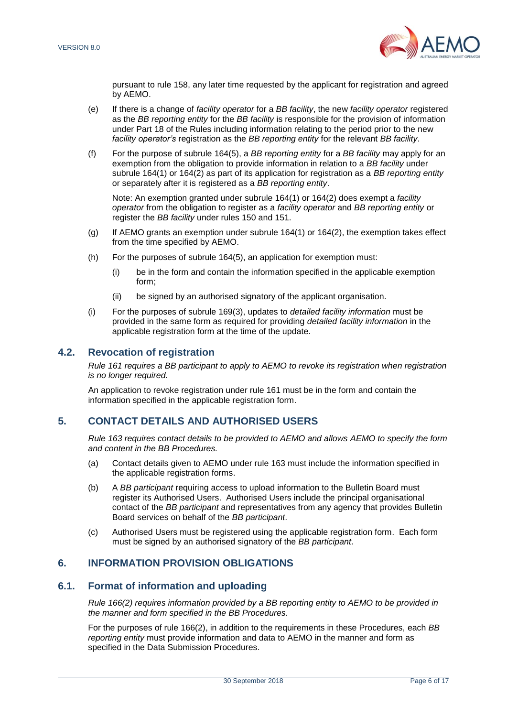

pursuant to rule 158, any later time requested by the applicant for registration and agreed by AEMO.

- (e) If there is a change of *facility operator* for a *BB facility*, the new *facility operator* registered as the *BB reporting entity* for the *BB facility* is responsible for the provision of information under Part 18 of the Rules including information relating to the period prior to the new *facility operator's* registration as the *BB reporting entity* for the relevant *BB facility*.
- (f) For the purpose of subrule 164(5), a *BB reporting entity* for a *BB facility* may apply for an exemption from the obligation to provide information in relation to a *BB facility* under subrule 164(1) or 164(2) as part of its application for registration as a *BB reporting entity* or separately after it is registered as a *BB reporting entity*.

Note: An exemption granted under subrule 164(1) or 164(2) does exempt a *facility operator* from the obligation to register as a *facility operator* and *BB reporting entity* or register the *BB facility* under rules 150 and 151.

- (g) If AEMO grants an exemption under subrule 164(1) or 164(2), the exemption takes effect from the time specified by AEMO.
- (h) For the purposes of subrule 164(5), an application for exemption must:
	- (i) be in the form and contain the information specified in the applicable exemption form;
	- (ii) be signed by an authorised signatory of the applicant organisation.
- (i) For the purposes of subrule 169(3), updates to *detailed facility information* must be provided in the same form as required for providing *detailed facility information* in the applicable registration form at the time of the update.

## <span id="page-5-0"></span>**4.2. Revocation of registration**

*Rule 161 requires a BB participant to apply to AEMO to revoke its registration when registration is no longer required.*

An application to revoke registration under rule 161 must be in the form and contain the information specified in the applicable registration form.

## <span id="page-5-1"></span>**5. CONTACT DETAILS AND AUTHORISED USERS**

*Rule 163 requires contact details to be provided to AEMO and allows AEMO to specify the form and content in the BB Procedures.*

- (a) Contact details given to AEMO under rule 163 must include the information specified in the applicable registration forms.
- (b) A *BB participant* requiring access to upload information to the Bulletin Board must register its Authorised Users. Authorised Users include the principal organisational contact of the *BB participant* and representatives from any agency that provides Bulletin Board services on behalf of the *BB participant*.
- (c) Authorised Users must be registered using the applicable registration form. Each form must be signed by an authorised signatory of the *BB participant*.

## <span id="page-5-2"></span>**6. INFORMATION PROVISION OBLIGATIONS**

## <span id="page-5-3"></span>**6.1. Format of information and uploading**

*Rule 166(2) requires information provided by a BB reporting entity to AEMO to be provided in the manner and form specified in the BB Procedures.*

For the purposes of rule 166(2), in addition to the requirements in these Procedures, each *BB reporting entity* must provide information and data to AEMO in the manner and form as specified in the Data Submission Procedures.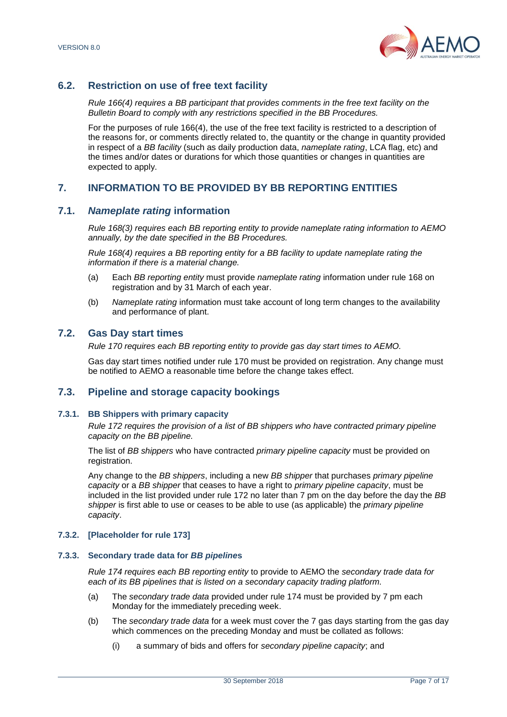

# <span id="page-6-0"></span>**6.2. Restriction on use of free text facility**

*Rule 166(4) requires a BB participant that provides comments in the free text facility on the Bulletin Board to comply with any restrictions specified in the BB Procedures.*

For the purposes of rule 166(4), the use of the free text facility is restricted to a description of the reasons for, or comments directly related to, the quantity or the change in quantity provided in respect of a *BB facility* (such as daily production data, *nameplate rating*, LCA flag, etc) and the times and/or dates or durations for which those quantities or changes in quantities are expected to apply.

# <span id="page-6-1"></span>**7. INFORMATION TO BE PROVIDED BY BB REPORTING ENTITIES**

## <span id="page-6-2"></span>**7.1.** *Nameplate rating* **information**

*Rule 168(3) requires each BB reporting entity to provide nameplate rating information to AEMO annually, by the date specified in the BB Procedures.*

*Rule 168(4) requires a BB reporting entity for a BB facility to update nameplate rating the information if there is a material change.* 

- (a) Each *BB reporting entity* must provide *nameplate rating* information under rule 168 on registration and by 31 March of each year.
- (b) *Nameplate rating* information must take account of long term changes to the availability and performance of plant.

## <span id="page-6-3"></span>**7.2. Gas Day start times**

*Rule 170 requires each BB reporting entity to provide gas day start times to AEMO.*

Gas day start times notified under rule 170 must be provided on registration. Any change must be notified to AEMO a reasonable time before the change takes effect.

## <span id="page-6-4"></span>**7.3. Pipeline and storage capacity bookings**

### **7.3.1. BB Shippers with primary capacity**

*Rule 172 requires the provision of a list of BB shippers who have contracted primary pipeline capacity on the BB pipeline.*

The list of *BB shippers* who have contracted *primary pipeline capacity* must be provided on registration.

Any change to the *BB shippers*, including a new *BB shipper* that purchases *primary pipeline capacity* or a *BB shipper* that ceases to have a right to *primary pipeline capacity*, must be included in the list provided under rule 172 no later than 7 pm on the day before the day the *BB shipper* is first able to use or ceases to be able to use (as applicable) the *primary pipeline capacity*.

### **7.3.2. [Placeholder for rule 173]**

### **7.3.3. Secondary trade data for** *BB pipeline***s**

*Rule 174 requires each BB reporting entity* to provide to AEMO the *secondary trade data for each of its BB pipelines that is listed on a secondary capacity trading platform.*

- (a) The *secondary trade data* provided under rule 174 must be provided by 7 pm each Monday for the immediately preceding week.
- (b) The *secondary trade data* for a week must cover the 7 gas days starting from the gas day which commences on the preceding Monday and must be collated as follows:
	- (i) a summary of bids and offers for *secondary pipeline capacity*; and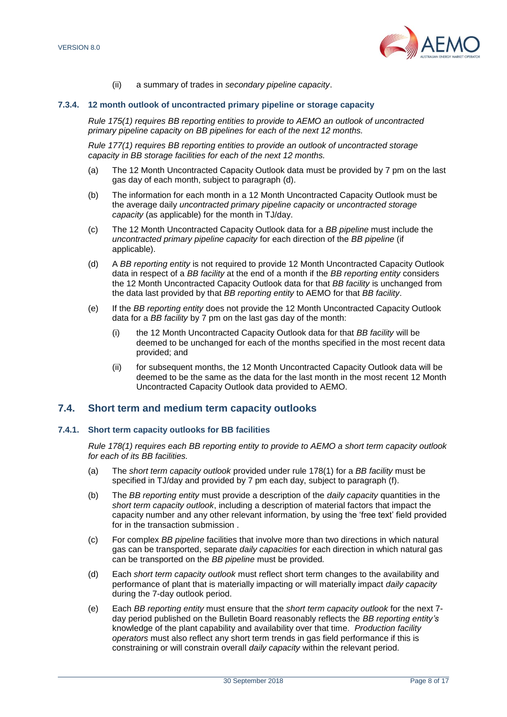

(ii) a summary of trades in *secondary pipeline capacity*.

#### **7.3.4. 12 month outlook of uncontracted primary pipeline or storage capacity**

*Rule 175(1) requires BB reporting entities to provide to AEMO an outlook of uncontracted primary pipeline capacity on BB pipelines for each of the next 12 months.*

*Rule 177(1) requires BB reporting entities to provide an outlook of uncontracted storage capacity in BB storage facilities for each of the next 12 months.*

- (a) The 12 Month Uncontracted Capacity Outlook data must be provided by 7 pm on the last gas day of each month, subject to paragraph (d).
- (b) The information for each month in a 12 Month Uncontracted Capacity Outlook must be the average daily *uncontracted primary pipeline capacity* or *uncontracted storage capacity* (as applicable) for the month in TJ/day.
- (c) The 12 Month Uncontracted Capacity Outlook data for a *BB pipeline* must include the *uncontracted primary pipeline capacity* for each direction of the *BB pipeline* (if applicable).
- (d) A *BB reporting entity* is not required to provide 12 Month Uncontracted Capacity Outlook data in respect of a *BB facility* at the end of a month if the *BB reporting entity* considers the 12 Month Uncontracted Capacity Outlook data for that *BB facility* is unchanged from the data last provided by that *BB reporting entity* to AEMO for that *BB facility*.
- (e) If the *BB reporting entity* does not provide the 12 Month Uncontracted Capacity Outlook data for a *BB facility* by 7 pm on the last gas day of the month:
	- (i) the 12 Month Uncontracted Capacity Outlook data for that *BB facility* will be deemed to be unchanged for each of the months specified in the most recent data provided; and
	- (ii) for subsequent months, the 12 Month Uncontracted Capacity Outlook data will be deemed to be the same as the data for the last month in the most recent 12 Month Uncontracted Capacity Outlook data provided to AEMO.

## <span id="page-7-0"></span>**7.4. Short term and medium term capacity outlooks**

#### **7.4.1. Short term capacity outlooks for BB facilities**

*Rule 178(1) requires each BB reporting entity to provide to AEMO a short term capacity outlook for each of its BB facilities.* 

- (a) The *short term capacity outlook* provided under rule 178(1) for a *BB facility* must be specified in TJ/day and provided by 7 pm each day, subject to paragraph (f).
- (b) The *BB reporting entity* must provide a description of the *daily capacity* quantities in the *short term capacity outlook*, including a description of material factors that impact the capacity number and any other relevant information, by using the 'free text' field provided for in the transaction submission .
- (c) For complex *BB pipeline* facilities that involve more than two directions in which natural gas can be transported, separate *daily capacities* for each direction in which natural gas can be transported on the *BB pipeline* must be provided*.*
- (d) Each *short term capacity outlook* must reflect short term changes to the availability and performance of plant that is materially impacting or will materially impact *daily capacity* during the 7-day outlook period.
- (e) Each *BB reporting entity* must ensure that the *short term capacity outlook* for the next 7 day period published on the Bulletin Board reasonably reflects the *BB reporting entity's* knowledge of the plant capability and availability over that time. *Production facility operators* must also reflect any short term trends in gas field performance if this is constraining or will constrain overall *daily capacity* within the relevant period.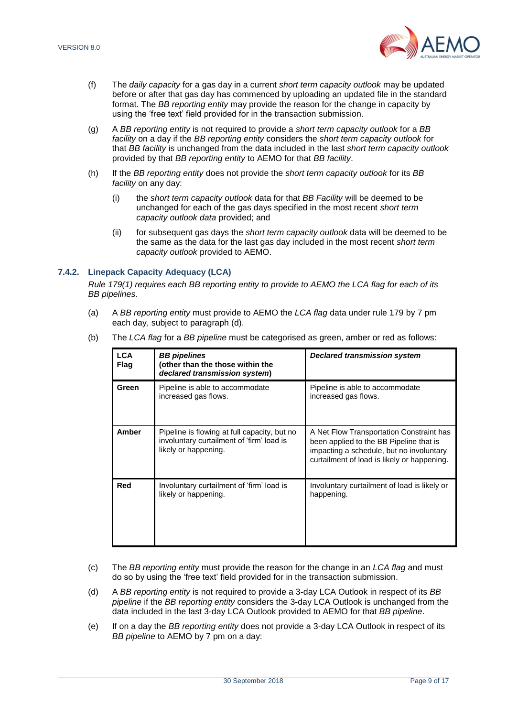

- (f) The *daily capacity* for a gas day in a current *short term capacity outlook* may be updated before or after that gas day has commenced by uploading an updated file in the standard format. The *BB reporting entity* may provide the reason for the change in capacity by using the 'free text' field provided for in the transaction submission.
- (g) A *BB reporting entity* is not required to provide a *short term capacity outlook* for a *BB facility* on a day if the *BB reporting entity* considers the *short term capacity outlook* for that *BB facility* is unchanged from the data included in the last *short term capacity outlook* provided by that *BB reporting entity* to AEMO for that *BB facility*.
- (h) If the *BB reporting entity* does not provide the *short term capacity outlook* for its *BB facility* on any day:
	- (i) the *short term capacity outlook* data for that *BB Facility* will be deemed to be unchanged for each of the gas days specified in the most recent *short term capacity outlook data* provided; and
	- (ii) for subsequent gas days the *short term capacity outlook* data will be deemed to be the same as the data for the last gas day included in the most recent *short term capacity outlook* provided to AEMO.

#### **7.4.2. Linepack Capacity Adequacy (LCA)**

*Rule 179(1) requires each BB reporting entity to provide to AEMO the LCA flag for each of its BB pipelines.* 

(a) A *BB reporting entity* must provide to AEMO the *LCA flag* data under rule 179 by 7 pm each day, subject to paragraph (d).

| <b>LCA</b><br><b>Flag</b> | <b>BB</b> pipelines<br>(other than the those within the<br>declared transmission system)                          | <b>Declared transmission system</b>                                                                                                                                            |
|---------------------------|-------------------------------------------------------------------------------------------------------------------|--------------------------------------------------------------------------------------------------------------------------------------------------------------------------------|
| Green                     | Pipeline is able to accommodate<br>increased gas flows.                                                           | Pipeline is able to accommodate<br>increased gas flows.                                                                                                                        |
| Amber                     | Pipeline is flowing at full capacity, but no<br>involuntary curtailment of 'firm' load is<br>likely or happening. | A Net Flow Transportation Constraint has<br>been applied to the BB Pipeline that is<br>impacting a schedule, but no involuntary<br>curtailment of load is likely or happening. |
| Red                       | Involuntary curtailment of 'firm' load is<br>likely or happening.                                                 | Involuntary curtailment of load is likely or<br>happening.                                                                                                                     |

(b) The *LCA flag* for a *BB pipeline* must be categorised as green, amber or red as follows:

- (c) The *BB reporting entity* must provide the reason for the change in an *LCA flag* and must do so by using the 'free text' field provided for in the transaction submission.
- (d) A *BB reporting entity* is not required to provide a 3-day LCA Outlook in respect of its *BB pipeline* if the *BB reporting entity* considers the 3-day LCA Outlook is unchanged from the data included in the last 3-day LCA Outlook provided to AEMO for that *BB pipeline*.
- (e) If on a day the *BB reporting entity* does not provide a 3-day LCA Outlook in respect of its *BB pipeline* to AEMO by 7 pm on a day: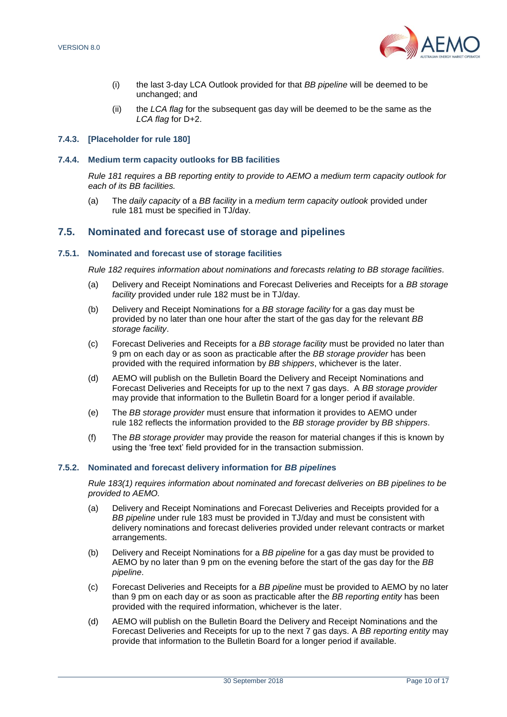

- (i) the last 3-day LCA Outlook provided for that *BB pipeline* will be deemed to be unchanged; and
- (ii) the *LCA flag* for the subsequent gas day will be deemed to be the same as the *LCA flag* for D+2.

#### **7.4.3. [Placeholder for rule 180]**

#### **7.4.4. Medium term capacity outlooks for BB facilities**

*Rule 181 requires a BB reporting entity to provide to AEMO a medium term capacity outlook for each of its BB facilities.*

(a) The *daily capacity* of a *BB facility* in a *medium term capacity outlook* provided under rule 181 must be specified in TJ/day.

### <span id="page-9-0"></span>**7.5. Nominated and forecast use of storage and pipelines**

#### **7.5.1. Nominated and forecast use of storage facilities**

*Rule 182 requires information about nominations and forecasts relating to BB storage facilities.*

- (a) Delivery and Receipt Nominations and Forecast Deliveries and Receipts for a *BB storage facility* provided under rule 182 must be in TJ/day.
- (b) Delivery and Receipt Nominations for a *BB storage facility* for a gas day must be provided by no later than one hour after the start of the gas day for the relevant *BB storage facility*.
- (c) Forecast Deliveries and Receipts for a *BB storage facility* must be provided no later than 9 pm on each day or as soon as practicable after the *BB storage provider* has been provided with the required information by *BB shippers*, whichever is the later.
- (d) AEMO will publish on the Bulletin Board the Delivery and Receipt Nominations and Forecast Deliveries and Receipts for up to the next 7 gas days. A *BB storage provider* may provide that information to the Bulletin Board for a longer period if available.
- (e) The *BB storage provider* must ensure that information it provides to AEMO under rule 182 reflects the information provided to the *BB storage provider* by *BB shippers*.
- (f) The *BB storage provider* may provide the reason for material changes if this is known by using the 'free text' field provided for in the transaction submission.

#### **7.5.2. Nominated and forecast delivery information for** *BB pipeline***s**

*Rule 183(1) requires information about nominated and forecast deliveries on BB pipelines to be provided to AEMO.*

- (a) Delivery and Receipt Nominations and Forecast Deliveries and Receipts provided for a *BB pipeline* under rule 183 must be provided in TJ/day and must be consistent with delivery nominations and forecast deliveries provided under relevant contracts or market arrangements.
- (b) Delivery and Receipt Nominations for a *BB pipeline* for a gas day must be provided to AEMO by no later than 9 pm on the evening before the start of the gas day for the *BB pipeline*.
- (c) Forecast Deliveries and Receipts for a *BB pipeline* must be provided to AEMO by no later than 9 pm on each day or as soon as practicable after the *BB reporting entity* has been provided with the required information, whichever is the later.
- (d) AEMO will publish on the Bulletin Board the Delivery and Receipt Nominations and the Forecast Deliveries and Receipts for up to the next 7 gas days. A *BB reporting entity* may provide that information to the Bulletin Board for a longer period if available.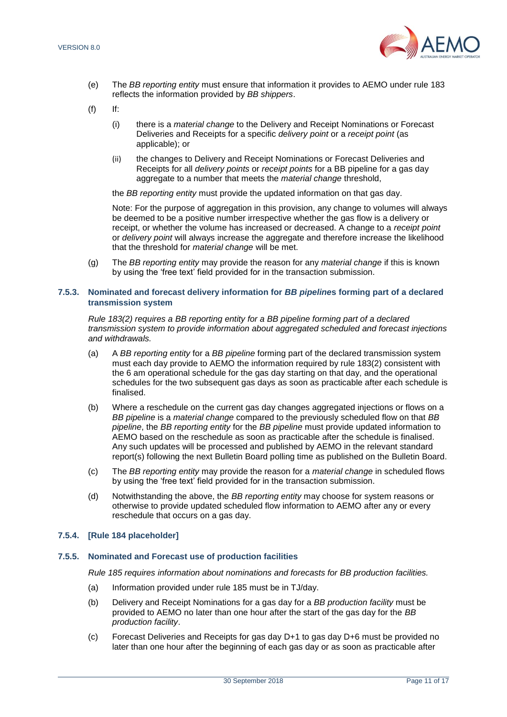

- (e) The *BB reporting entity* must ensure that information it provides to AEMO under rule 183 reflects the information provided by *BB shippers*.
- (f) If:
	- (i) there is a *material change* to the Delivery and Receipt Nominations or Forecast Deliveries and Receipts for a specific *delivery point* or a *receipt point* (as applicable); or
	- (ii) the changes to Delivery and Receipt Nominations or Forecast Deliveries and Receipts for all *delivery points* or *receipt points* for a BB pipeline for a gas day aggregate to a number that meets the *material change* threshold,

the *BB reporting entity* must provide the updated information on that gas day.

Note: For the purpose of aggregation in this provision, any change to volumes will always be deemed to be a positive number irrespective whether the gas flow is a delivery or receipt, or whether the volume has increased or decreased. A change to a *receipt point* or *delivery point* will always increase the aggregate and therefore increase the likelihood that the threshold for *material change* will be met.

(g) The *BB reporting entity* may provide the reason for any *material change* if this is known by using the 'free text' field provided for in the transaction submission.

#### **7.5.3. Nominated and forecast delivery information for** *BB pipeline***s forming part of a declared transmission system**

*Rule 183(2) requires a BB reporting entity for a BB pipeline forming part of a declared transmission system to provide information about aggregated scheduled and forecast injections and withdrawals.*

- (a) A *BB reporting entity* for a *BB pipeline* forming part of the declared transmission system must each day provide to AEMO the information required by rule 183(2) consistent with the 6 am operational schedule for the gas day starting on that day, and the operational schedules for the two subsequent gas days as soon as practicable after each schedule is finalised.
- (b) Where a reschedule on the current gas day changes aggregated injections or flows on a *BB pipeline* is a *material change* compared to the previously scheduled flow on that *BB pipeline*, the *BB reporting entity* for the *BB pipeline* must provide updated information to AEMO based on the reschedule as soon as practicable after the schedule is finalised. Any such updates will be processed and published by AEMO in the relevant standard report(s) following the next Bulletin Board polling time as published on the Bulletin Board.
- (c) The *BB reporting entity* may provide the reason for a *material change* in scheduled flows by using the 'free text' field provided for in the transaction submission.
- (d) Notwithstanding the above, the *BB reporting entity* may choose for system reasons or otherwise to provide updated scheduled flow information to AEMO after any or every reschedule that occurs on a gas day.

### **7.5.4. [Rule 184 placeholder]**

#### **7.5.5. Nominated and Forecast use of production facilities**

*Rule 185 requires information about nominations and forecasts for BB production facilities.*

- (a) Information provided under rule 185 must be in TJ/day.
- (b) Delivery and Receipt Nominations for a gas day for a *BB production facility* must be provided to AEMO no later than one hour after the start of the gas day for the *BB production facility*.
- (c) Forecast Deliveries and Receipts for gas day D+1 to gas day D+6 must be provided no later than one hour after the beginning of each gas day or as soon as practicable after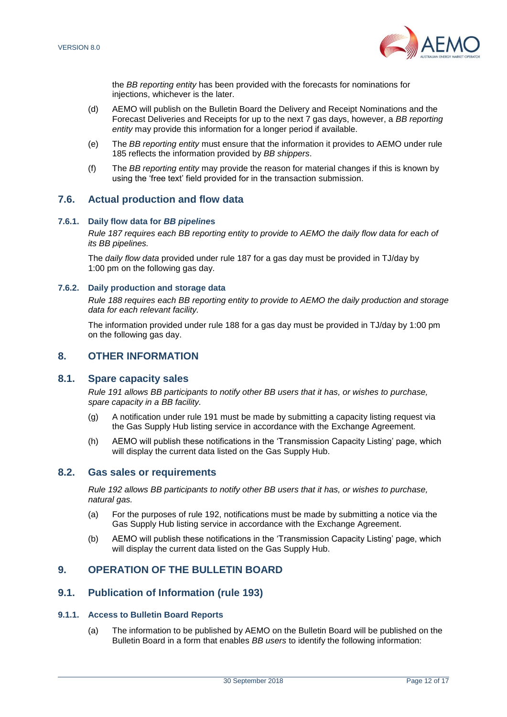

the *BB reporting entity* has been provided with the forecasts for nominations for injections, whichever is the later.

- (d) AEMO will publish on the Bulletin Board the Delivery and Receipt Nominations and the Forecast Deliveries and Receipts for up to the next 7 gas days, however, a *BB reporting entity* may provide this information for a longer period if available.
- (e) The *BB reporting entity* must ensure that the information it provides to AEMO under rule 185 reflects the information provided by *BB shippers*.
- (f) The *BB reporting entity* may provide the reason for material changes if this is known by using the 'free text' field provided for in the transaction submission.

## <span id="page-11-0"></span>**7.6. Actual production and flow data**

#### **7.6.1. Daily flow data for** *BB pipeline***s**

*Rule 187 requires each BB reporting entity to provide to AEMO the daily flow data for each of its BB pipelines.* 

The *daily flow data* provided under rule 187 for a gas day must be provided in TJ/day by 1:00 pm on the following gas day.

#### **7.6.2. Daily production and storage data**

*Rule 188 requires each BB reporting entity to provide to AEMO the daily production and storage data for each relevant facility.* 

The information provided under rule 188 for a gas day must be provided in TJ/day by 1:00 pm on the following gas day.

## <span id="page-11-1"></span>**8. OTHER INFORMATION**

## <span id="page-11-2"></span>**8.1. Spare capacity sales**

*Rule 191 allows BB participants to notify other BB users that it has, or wishes to purchase, spare capacity in a BB facility.*

- (g) A notification under rule 191 must be made by submitting a capacity listing request via the Gas Supply Hub listing service in accordance with the Exchange Agreement.
- (h) AEMO will publish these notifications in the 'Transmission Capacity Listing' page, which will display the current data listed on the Gas Supply Hub.

## <span id="page-11-3"></span>**8.2. Gas sales or requirements**

*Rule 192 allows BB participants to notify other BB users that it has, or wishes to purchase, natural gas.*

- (a) For the purposes of rule 192, notifications must be made by submitting a notice via the Gas Supply Hub listing service in accordance with the Exchange Agreement.
- (b) AEMO will publish these notifications in the 'Transmission Capacity Listing' page, which will display the current data listed on the Gas Supply Hub.

## <span id="page-11-4"></span>**9. OPERATION OF THE BULLETIN BOARD**

## <span id="page-11-5"></span>**9.1. Publication of Information (rule 193)**

#### **9.1.1. Access to Bulletin Board Reports**

(a) The information to be published by AEMO on the Bulletin Board will be published on the Bulletin Board in a form that enables *BB users* to identify the following information: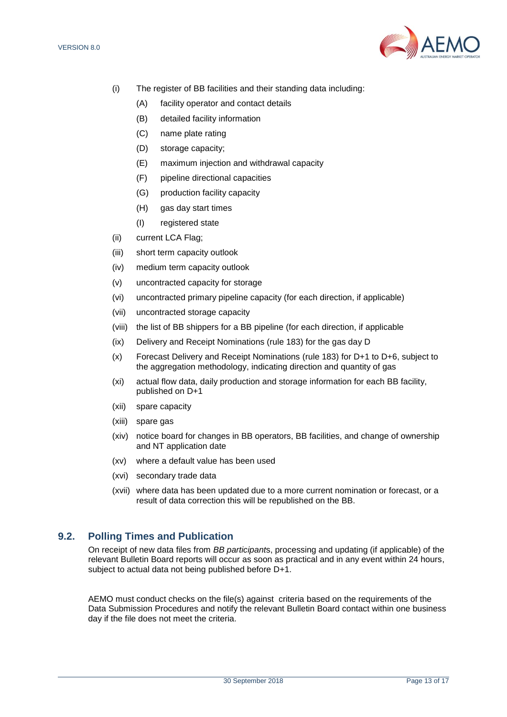

- (i) The register of BB facilities and their standing data including:
	- (A) facility operator and contact details
	- (B) detailed facility information
	- (C) name plate rating
	- (D) storage capacity;
	- (E) maximum injection and withdrawal capacity
	- (F) pipeline directional capacities
	- (G) production facility capacity
	- (H) gas day start times
	- (I) registered state
- (ii) current LCA Flag;
- (iii) short term capacity outlook
- (iv) medium term capacity outlook
- (v) uncontracted capacity for storage
- (vi) uncontracted primary pipeline capacity (for each direction, if applicable)
- (vii) uncontracted storage capacity
- (viii) the list of BB shippers for a BB pipeline (for each direction, if applicable
- (ix) Delivery and Receipt Nominations (rule 183) for the gas day D
- (x) Forecast Delivery and Receipt Nominations (rule 183) for D+1 to D+6, subject to the aggregation methodology, indicating direction and quantity of gas
- (xi) actual flow data, daily production and storage information for each BB facility, published on D+1
- (xii) spare capacity
- (xiii) spare gas
- (xiv) notice board for changes in BB operators, BB facilities, and change of ownership and NT application date
- (xv) where a default value has been used
- (xvi) secondary trade data
- (xvii) where data has been updated due to a more current nomination or forecast, or a result of data correction this will be republished on the BB.

## <span id="page-12-0"></span>**9.2. Polling Times and Publication**

On receipt of new data files from *BB participant*s, processing and updating (if applicable) of the relevant Bulletin Board reports will occur as soon as practical and in any event within 24 hours, subject to actual data not being published before D+1.

AEMO must conduct checks on the file(s) against criteria based on the requirements of the Data Submission Procedures and notify the relevant Bulletin Board contact within one business day if the file does not meet the criteria.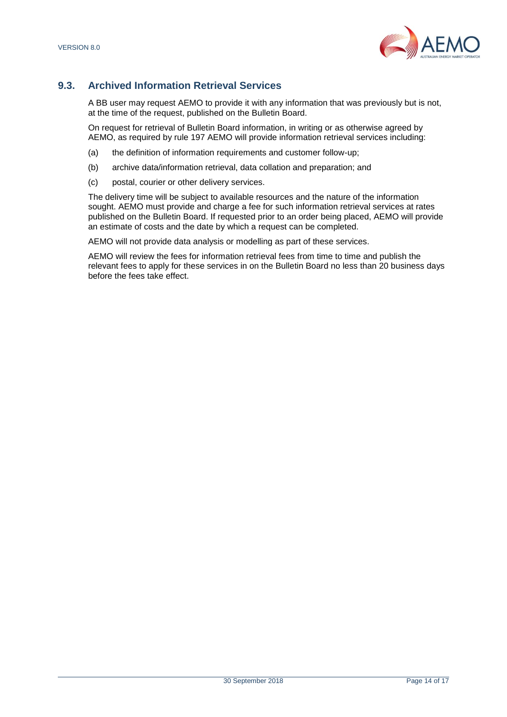

# <span id="page-13-0"></span>**9.3. Archived Information Retrieval Services**

A BB user may request AEMO to provide it with any information that was previously but is not, at the time of the request, published on the Bulletin Board.

On request for retrieval of Bulletin Board information, in writing or as otherwise agreed by AEMO, as required by rule 197 AEMO will provide information retrieval services including:

- (a) the definition of information requirements and customer follow-up;
- (b) archive data/information retrieval, data collation and preparation; and
- (c) postal, courier or other delivery services.

The delivery time will be subject to available resources and the nature of the information sought. AEMO must provide and charge a fee for such information retrieval services at rates published on the Bulletin Board. If requested prior to an order being placed, AEMO will provide an estimate of costs and the date by which a request can be completed.

AEMO will not provide data analysis or modelling as part of these services.

AEMO will review the fees for information retrieval fees from time to time and publish the relevant fees to apply for these services in on the Bulletin Board no less than 20 business days before the fees take effect.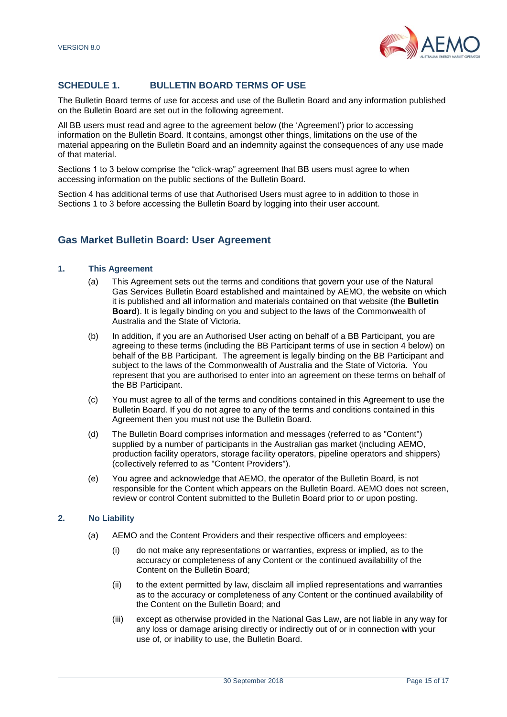

## **SCHEDULE 1. BULLETIN BOARD TERMS OF USE**

The Bulletin Board terms of use for access and use of the Bulletin Board and any information published on the Bulletin Board are set out in the following agreement.

All BB users must read and agree to the agreement below (the 'Agreement') prior to accessing information on the Bulletin Board. It contains, amongst other things, limitations on the use of the material appearing on the Bulletin Board and an indemnity against the consequences of any use made of that material.

Sections 1 to 3 below comprise the "click-wrap" agreement that BB users must agree to when accessing information on the public sections of the Bulletin Board.

Section 4 has additional terms of use that Authorised Users must agree to in addition to those in Sections 1 to 3 before accessing the Bulletin Board by logging into their user account.

## <span id="page-14-0"></span>**Gas Market Bulletin Board: User Agreement**

## **1. This Agreement**

- (a) This Agreement sets out the terms and conditions that govern your use of the Natural Gas Services Bulletin Board established and maintained by AEMO, the website on which it is published and all information and materials contained on that website (the **Bulletin Board**). It is legally binding on you and subject to the laws of the Commonwealth of Australia and the State of Victoria.
- (b) In addition, if you are an Authorised User acting on behalf of a BB Participant, you are agreeing to these terms (including the BB Participant terms of use in section 4 below) on behalf of the BB Participant. The agreement is legally binding on the BB Participant and subject to the laws of the Commonwealth of Australia and the State of Victoria. You represent that you are authorised to enter into an agreement on these terms on behalf of the BB Participant.
- (c) You must agree to all of the terms and conditions contained in this Agreement to use the Bulletin Board. If you do not agree to any of the terms and conditions contained in this Agreement then you must not use the Bulletin Board.
- (d) The Bulletin Board comprises information and messages (referred to as "Content") supplied by a number of participants in the Australian gas market (including AEMO, production facility operators, storage facility operators, pipeline operators and shippers) (collectively referred to as "Content Providers").
- (e) You agree and acknowledge that AEMO, the operator of the Bulletin Board, is not responsible for the Content which appears on the Bulletin Board. AEMO does not screen, review or control Content submitted to the Bulletin Board prior to or upon posting.

### **2. No Liability**

- (a) AEMO and the Content Providers and their respective officers and employees:
	- (i) do not make any representations or warranties, express or implied, as to the accuracy or completeness of any Content or the continued availability of the Content on the Bulletin Board;
	- (ii) to the extent permitted by law, disclaim all implied representations and warranties as to the accuracy or completeness of any Content or the continued availability of the Content on the Bulletin Board; and
	- (iii) except as otherwise provided in the National Gas Law, are not liable in any way for any loss or damage arising directly or indirectly out of or in connection with your use of, or inability to use, the Bulletin Board.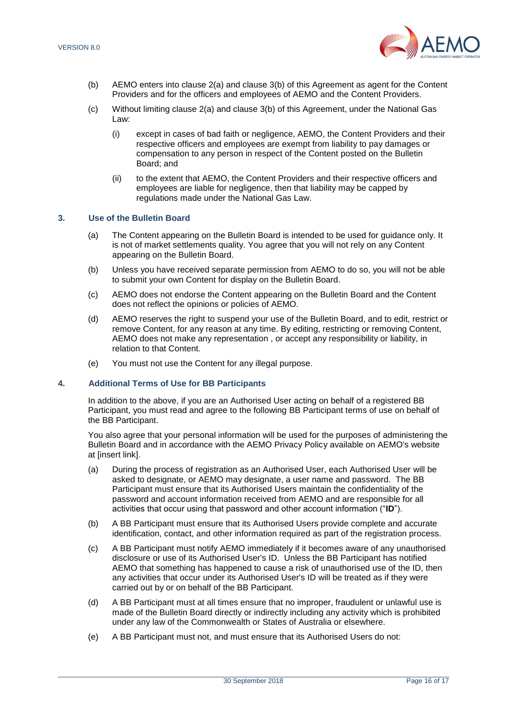

- (b) AEMO enters into clause 2(a) and clause 3(b) of this Agreement as agent for the Content Providers and for the officers and employees of AEMO and the Content Providers.
- (c) Without limiting clause 2(a) and clause 3(b) of this Agreement, under the National Gas Law:
	- (i) except in cases of bad faith or negligence, AEMO, the Content Providers and their respective officers and employees are exempt from liability to pay damages or compensation to any person in respect of the Content posted on the Bulletin Board; and
	- (ii) to the extent that AEMO, the Content Providers and their respective officers and employees are liable for negligence, then that liability may be capped by regulations made under the National Gas Law.

#### **3. Use of the Bulletin Board**

- (a) The Content appearing on the Bulletin Board is intended to be used for guidance only. It is not of market settlements quality. You agree that you will not rely on any Content appearing on the Bulletin Board.
- (b) Unless you have received separate permission from AEMO to do so, you will not be able to submit your own Content for display on the Bulletin Board.
- (c) AEMO does not endorse the Content appearing on the Bulletin Board and the Content does not reflect the opinions or policies of AEMO.
- (d) AEMO reserves the right to suspend your use of the Bulletin Board, and to edit, restrict or remove Content, for any reason at any time. By editing, restricting or removing Content, AEMO does not make any representation , or accept any responsibility or liability, in relation to that Content.
- (e) You must not use the Content for any illegal purpose.

#### **4. Additional Terms of Use for BB Participants**

In addition to the above, if you are an Authorised User acting on behalf of a registered BB Participant, you must read and agree to the following BB Participant terms of use on behalf of the BB Participant.

You also agree that your personal information will be used for the purposes of administering the Bulletin Board and in accordance with the AEMO Privacy Policy available on AEMO's website at [insert link].

- (a) During the process of registration as an Authorised User, each Authorised User will be asked to designate, or AEMO may designate, a user name and password. The BB Participant must ensure that its Authorised Users maintain the confidentiality of the password and account information received from AEMO and are responsible for all activities that occur using that password and other account information ("**ID**").
- (b) A BB Participant must ensure that its Authorised Users provide complete and accurate identification, contact, and other information required as part of the registration process.
- (c) A BB Participant must notify AEMO immediately if it becomes aware of any unauthorised disclosure or use of its Authorised User's ID. Unless the BB Participant has notified AEMO that something has happened to cause a risk of unauthorised use of the ID, then any activities that occur under its Authorised User's ID will be treated as if they were carried out by or on behalf of the BB Participant.
- (d) A BB Participant must at all times ensure that no improper, fraudulent or unlawful use is made of the Bulletin Board directly or indirectly including any activity which is prohibited under any law of the Commonwealth or States of Australia or elsewhere.
- (e) A BB Participant must not, and must ensure that its Authorised Users do not: